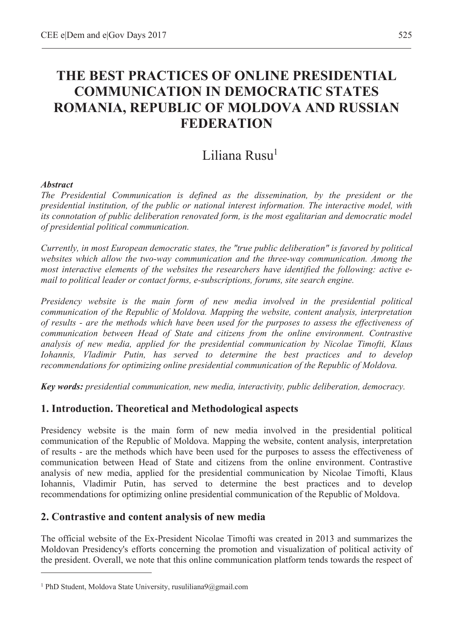# **THE BEST PRACTICES OF ONLINE PRESIDENTIAL COMMUNICATION IN DEMOCRATIC STATES ROMANIA, REPUBLIC OF MOLDOVA AND RUSSIAN FEDERATION**

## Liliana Rusu<sup>1</sup>

#### *Abstract*

 $\overline{a}$ 

*The Presidential Communication is defined as the dissemination, by the president or the presidential institution, of the public or national interest information. The interactive model, with*  its connotation of public deliberation renovated form, is the most egalitarian and democratic model *of presidential political communication.* 

*Currently, in most European democratic states, the "true public deliberation" is favored by political*  websites which allow the two-way communication and the three-way communication. Among the *most interactive elements of the websites the researchers have identified the following: active email to political leader or contact forms, e-subscriptions, forums, site search engine.* 

*Presidency website is the main form of new media involved in the presidential political communication of the Republic of Moldova. Mapping the website, content analysis, interpretation of results - are the methods which have been used for the purposes to assess the effectiveness of communication between Head of State and citizens from the online environment. Contrastive analysis of new media, applied for the presidential communication by Nicolae Timofti, Klaus Iohannis, Vladimir Putin, has served to determine the best practices and to develop recommendations for optimizing online presidential communication of the Republic of Moldova.* 

*Key words: presidential communication, new media, interactivity, public deliberation, democracy.* 

## **1. Introduction. Theoretical and Methodological aspects**

Presidency website is the main form of new media involved in the presidential political communication of the Republic of Moldova. Mapping the website, content analysis, interpretation of results - are the methods which have been used for the purposes to assess the effectiveness of communication between Head of State and citizens from the online environment. Contrastive analysis of new media, applied for the presidential communication by Nicolae Timofti, Klaus Iohannis, Vladimir Putin, has served to determine the best practices and to develop recommendations for optimizing online presidential communication of the Republic of Moldova.

## **2. Contrastive and content analysis of new media**

The official website of the Ex-President Nicolae Timofti was created in 2013 and summarizes the Moldovan Presidency's efforts concerning the promotion and visualization of political activity of the president. Overall, we note that this online communication platform tends towards the respect of

<sup>&</sup>lt;sup>1</sup> PhD Student, Moldova State University, rusuliliana9@gmail.com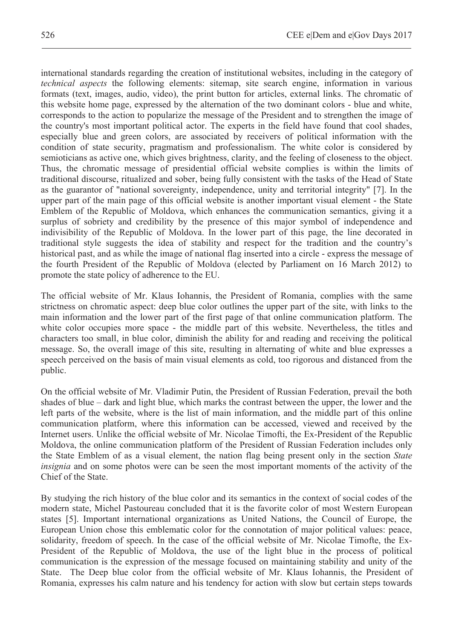international standards regarding the creation of institutional websites, including in the category of *technical aspects* the following elements: sitemap, site search engine, information in various formats (text, images, audio, video), the print button for articles, external links. The chromatic of this website home page, expressed by the alternation of the two dominant colors - blue and white, corresponds to the action to popularize the message of the President and to strengthen the image of the country's most important political actor. The experts in the field have found that cool shades, especially blue and green colors, are associated by receivers of political information with the condition of state security, pragmatism and professionalism. The white color is considered by semioticians as active one, which gives brightness, clarity, and the feeling of closeness to the object. Thus, the chromatic message of presidential official website complies is within the limits of traditional discourse, ritualized and sober, being fully consistent with the tasks of the Head of State as the guarantor of "national sovereignty, independence, unity and territorial integrity" [7]. In the upper part of the main page of this official website is another important visual element - the State Emblem of the Republic of Moldova, which enhances the communication semantics, giving it a surplus of sobriety and credibility by the presence of this major symbol of independence and indivisibility of the Republic of Moldova. In the lower part of this page, the line decorated in traditional style suggests the idea of stability and respect for the tradition and the country's historical past, and as while the image of national flag inserted into a circle - express the message of the fourth President of the Republic of Moldova (elected by Parliament on 16 March 2012) to promote the state policy of adherence to the EU.

The official website of Mr. Klaus Iohannis, the President of Romania, complies with the same strictness on chromatic aspect: deep blue color outlines the upper part of the site, with links to the main information and the lower part of the first page of that online communication platform. The white color occupies more space - the middle part of this website. Nevertheless, the titles and characters too small, in blue color, diminish the ability for and reading and receiving the political message. So, the overall image of this site, resulting in alternating of white and blue expresses a speech perceived on the basis of main visual elements as cold, too rigorous and distanced from the public.

On the official website of Mr. Vladimir Putin, the President of Russian Federation, prevail the both shades of blue – dark and light blue, which marks the contrast between the upper, the lower and the left parts of the website, where is the list of main information, and the middle part of this online communication platform, where this information can be accessed, viewed and received by the Internet users. Unlike the official website of Mr. Nicolae Timofti, the Ex-President of the Republic Moldova, the online communication platform of the President of Russian Federation includes only the State Emblem of as a visual element, the nation flag being present only in the section *State insignia* and on some photos were can be seen the most important moments of the activity of the Chief of the State.

By studying the rich history of the blue color and its semantics in the context of social codes of the modern state, Michel Pastoureau concluded that it is the favorite color of most Western European states [5]. Important international organizations as United Nations, the Council of Europe, the European Union chose this emblematic color for the connotation of major political values: peace, solidarity, freedom of speech. In the case of the official website of Mr. Nicolae Timofte, the Ex-President of the Republic of Moldova, the use of the light blue in the process of political communication is the expression of the message focused on maintaining stability and unity of the State. The Deep blue color from the official website of Mr. Klaus Iohannis, the President of Romania, expresses his calm nature and his tendency for action with slow but certain steps towards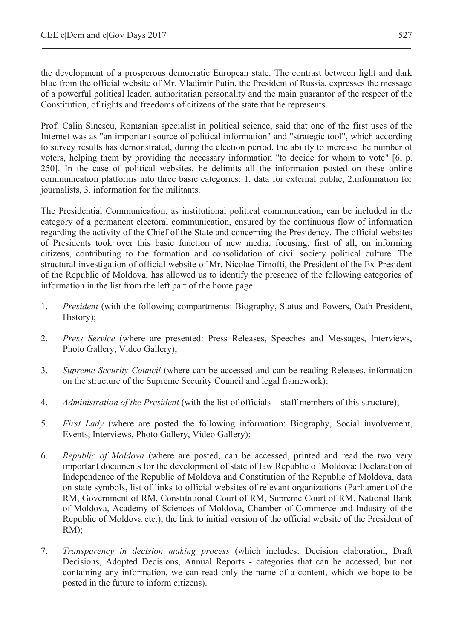the development of a prosperous democratic European state. The contrast between light and dark blue from the official website of Mr. Vladimir Putin, the President of Russia, expresses the message of a powerful political leader, authoritarian personality and the main guarantor of the respect of the Constitution, of rights and freedoms of citizens of the state that he represents.

Prof. Calin Sinescu, Romanian specialist in political science, said that one of the first uses of the Internet was as "an important source of political information" and "strategic tool", which according to survey results has demonstrated, during the election period, the ability to increase the number of voters, helping them by providing the necessary information "to decide for whom to vote" [6, p. 250]. In the case of political websites, he delimits all the information posted on these online communication platforms into three basic categories: 1. data for external public, 2.information for journalists, 3. information for the militants.

The Presidential Communication, as institutional political communication, can be included in the category of a permanent electoral communication, ensured by the continuous flow of information regarding the activity of the Chief of the State and concerning the Presidency. The official websites of Presidents took over this basic function of new media, focusing, first of all, on informing citizens, contributing to the formation and consolidation of civil society political culture. The structural investigation of official website of Mr. Nicolae Timofti, the President of the Ex-President of the Republic of Moldova, has allowed us to identify the presence of the following categories of information in the list from the left part of the home page:

- 1. *President* (with the following compartments: Biography, Status and Powers, Oath President, History);
- 2. *Press Service* (where are presented: Press Releases, Speeches and Messages, Interviews, Photo Gallery, Video Gallery);
- 3. *Supreme Security Council* (where can be accessed and can be reading Releases, information on the structure of the Supreme Security Council and legal framework);
- 4. *Administration of the President* (with the list of officials staff members of this structure);
- 5. *First Lady* (where are posted the following information: Biography, Social involvement, Events, Interviews, Photo Gallery, Video Gallery);
- 6. *Republic of Moldova* (where are posted, can be accessed, printed and read the two very important documents for the development of state of law Republic of Moldova: Declaration of Independence of the Republic of Moldova and Constitution of the Republic of Moldova, data on state symbols, list of links to official websites of relevant organizations (Parliament of the RM, Government of RM, Constitutional Court of RM, Supreme Court of RM, National Bank of Moldova, Academy of Sciences of Moldova, Chamber of Commerce and Industry of the Republic of Moldova etc.), the link to initial version of the official website of the President of RM);
- 7. *Transparency in decision making process* (which includes: Decision elaboration, Draft Decisions, Adopted Decisions, Annual Reports - categories that can be accessed, but not containing any information, we can read only the name of a content, which we hope to be posted in the future to inform citizens).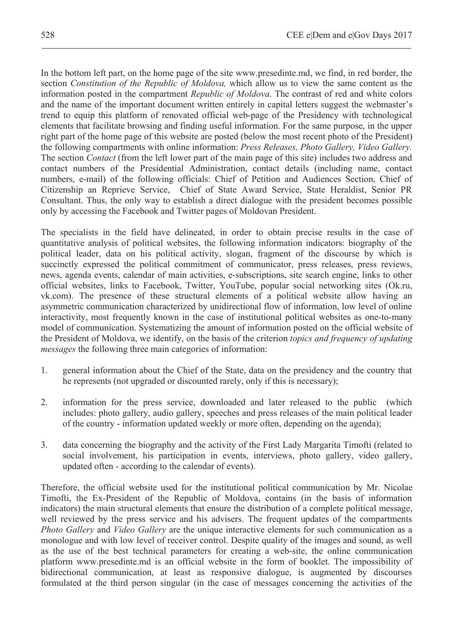In the bottom left part, on the home page of the site www.presedinte.md, we find, in red border, the section *Constitution of the Republic of Moldova,* which allow us to view the same content as the information posted in the compartment *Republic of Moldova*. The contrast of red and white colors and the name of the important document written entirely in capital letters suggest the webmaster's trend to equip this platform of renovated official web-page of the Presidency with technological elements that facilitate browsing and finding useful information. For the same purpose, in the upper right part of the home page of this website are posted (below the most recent photo of the President) the following compartments with online information: *Press Releases, Photo Gallery, Video Gallery.*  The section *Contact* (from the left lower part of the main page of this site) includes two address and contact numbers of the Presidential Administration, contact details (including name, contact numbers, e-mail) of the following officials: Chief of Petition and Audiences Section, Chief of Citizenship an Reprieve Service, Chief of State Award Service, State Heraldist, Senior PR Consultant. Thus, the only way to establish a direct dialogue with the president becomes possible only by accessing the Facebook and Twitter pages of Moldovan President.

The specialists in the field have delineated, in order to obtain precise results in the case of quantitative analysis of political websites, the following information indicators: biography of the political leader, data on his political activity, slogan, fragment of the discourse by which is succinctly expressed the political commitment of communicator, press releases, press reviews, news, agenda events, calendar of main activities, e-subscriptions, site search engine, links to other official websites, links to Facebook, Twitter, YouTube, popular social networking sites (Ok.ru, vk.com). The presence of these structural elements of a political website allow having an asymmetric communication characterized by unidirectional flow of information, low level of online interactivity, most frequently known in the case of institutional political websites as one-to-many model of communication. Systematizing the amount of information posted on the official website of the President of Moldova, we identify, on the basis of the criterion *topics and frequency of updating messages* the following three main categories of information:

- 1. general information about the Chief of the State, data on the presidency and the country that he represents (not upgraded or discounted rarely, only if this is necessary);
- 2. information for the press service, downloaded and later released to the public (which includes: photo gallery, audio gallery, speeches and press releases of the main political leader of the country - information updated weekly or more often, depending on the agenda);
- 3. data concerning the biography and the activity of the First Lady Margarita Timofti (related to social involvement, his participation in events, interviews, photo gallery, video gallery, updated often - according to the calendar of events).

Therefore, the official website used for the institutional political communication by Mr. Nicolae Timofti, the Ex-President of the Republic of Moldova, contains (in the basis of information indicators) the main structural elements that ensure the distribution of a complete political message, well reviewed by the press service and his advisers. The frequent updates of the compartments *Photo Gallery* and *Video Gallery* are the unique interactive elements for such communication as a monologue and with low level of receiver control. Despite quality of the images and sound, as well as the use of the best technical parameters for creating a web-site, the online communication platform www.presedinte.md is an official website in the form of booklet. The impossibility of bidirectional communication, at least as responsive dialogue, is augmented by discourses formulated at the third person singular (in the case of messages concerning the activities of the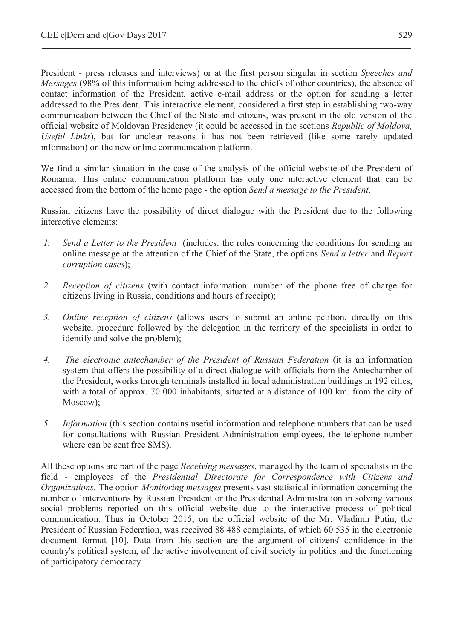President - press releases and interviews) or at the first person singular in section *Speeches and Messages* (98% of this information being addressed to the chiefs of other countries), the absence of contact information of the President, active e-mail address or the option for sending a letter addressed to the President. This interactive element, considered a first step in establishing two-way communication between the Chief of the State and citizens, was present in the old version of the official website of Moldovan Presidency (it could be accessed in the sections *Republic of Moldova, Useful Links*), but for unclear reasons it has not been retrieved (like some rarely updated information) on the new online communication platform.

We find a similar situation in the case of the analysis of the official website of the President of Romania. This online communication platform has only one interactive element that can be accessed from the bottom of the home page - the option *Send a message to the President*.

Russian citizens have the possibility of direct dialogue with the President due to the following interactive elements:

- *1. Send a Letter to the President* (includes: the rules concerning the conditions for sending an online message at the attention of the Chief of the State, the options *Send a letter* and *Report corruption cases*);
- *2. Reception of citizens* (with contact information: number of the phone free of charge for citizens living in Russia, conditions and hours of receipt);
- *3. Online reception of citizens* (allows users to submit an online petition, directly on this website, procedure followed by the delegation in the territory of the specialists in order to identify and solve the problem);
- *4. The electronic antechamber of the President of Russian Federation* (it is an information system that offers the possibility of a direct dialogue with officials from the Antechamber of the President, works through terminals installed in local administration buildings in 192 cities, with a total of approx. 70 000 inhabitants, situated at a distance of 100 km. from the city of Moscow);
- *5. Information* (this section contains useful information and telephone numbers that can be used for consultations with Russian President Administration employees, the telephone number where can be sent free SMS).

All these options are part of the page *Receiving messages*, managed by the team of specialists in the field - employees of the *Presidential Directorate for Correspondence with Citizens and Organizations.* The option *Monitoring messages* presents vast statistical information concerning the number of interventions by Russian President or the Presidential Administration in solving various social problems reported on this official website due to the interactive process of political communication. Thus in October 2015, on the official website of the Mr. Vladimir Putin, the President of Russian Federation, was received 88 488 complaints, of which 60 535 in the electronic document format [10]. Data from this section are the argument of citizens' confidence in the country's political system, of the active involvement of civil society in politics and the functioning of participatory democracy.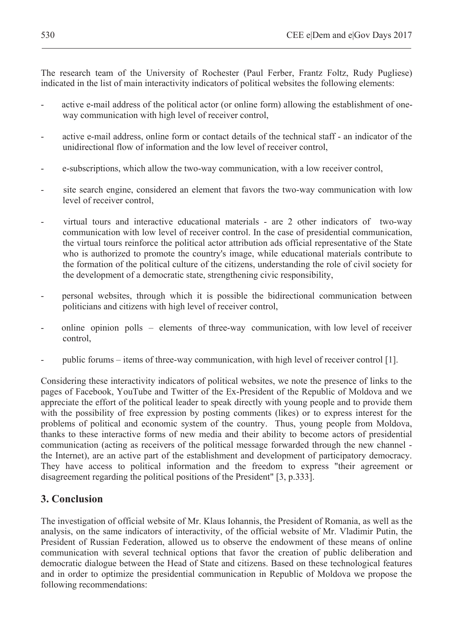The research team of the University of Rochester (Paul Ferber, Frantz Foltz, Rudy Pugliese) indicated in the list of main interactivity indicators of political websites the following elements:

- active e-mail address of the political actor (or online form) allowing the establishment of oneway communication with high level of receiver control,
- active e-mail address, online form or contact details of the technical staff an indicator of the unidirectional flow of information and the low level of receiver control,
- e-subscriptions, which allow the two-way communication, with a low receiver control,
- site search engine, considered an element that favors the two-way communication with low level of receiver control,
- virtual tours and interactive educational materials are 2 other indicators of two-way communication with low level of receiver control. In the case of presidential communication, the virtual tours reinforce the political actor attribution ads official representative of the State who is authorized to promote the country's image, while educational materials contribute to the formation of the political culture of the citizens, understanding the role of civil society for the development of a democratic state, strengthening civic responsibility,
- personal websites, through which it is possible the bidirectional communication between politicians and citizens with high level of receiver control,
- online opinion polls elements of three-way communication, with low level of receiver control,
- public forums items of three-way communication, with high level of receiver control [1].

Considering these interactivity indicators of political websites, we note the presence of links to the pages of Facebook, YouTube and Twitter of the Ex-President of the Republic of Moldova and we appreciate the effort of the political leader to speak directly with young people and to provide them with the possibility of free expression by posting comments (likes) or to express interest for the problems of political and economic system of the country. Thus, young people from Moldova, thanks to these interactive forms of new media and their ability to become actors of presidential communication (acting as receivers of the political message forwarded through the new channel the Internet), are an active part of the establishment and development of participatory democracy. They have access to political information and the freedom to express "their agreement or disagreement regarding the political positions of the President" [3, p.333].

#### **3. Conclusion**

The investigation of official website of Mr. Klaus Iohannis, the President of Romania, as well as the analysis, on the same indicators of interactivity, of the official website of Mr. Vladimir Putin, the President of Russian Federation, allowed us to observe the endowment of these means of online communication with several technical options that favor the creation of public deliberation and democratic dialogue between the Head of State and citizens. Based on these technological features and in order to optimize the presidential communication in Republic of Moldova we propose the following recommendations: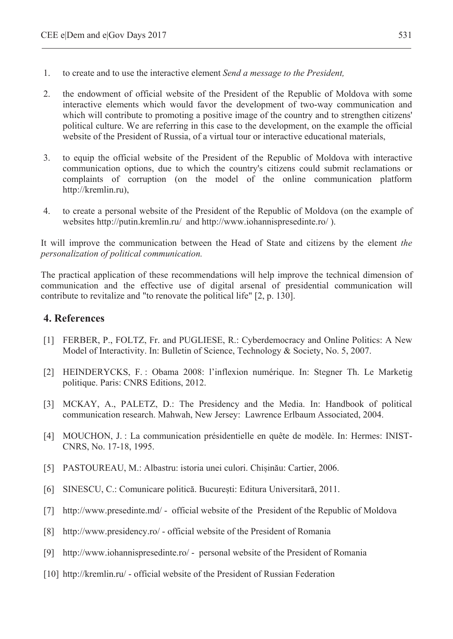- 1. to create and to use the interactive element *Send a message to the President,*
- 2. the endowment of official website of the President of the Republic of Moldova with some interactive elements which would favor the development of two-way communication and which will contribute to promoting a positive image of the country and to strengthen citizens' political culture. We are referring in this case to the development, on the example the official website of the President of Russia, of a virtual tour or interactive educational materials,
- 3. to equip the official website of the President of the Republic of Moldova with interactive communication options, due to which the country's citizens could submit reclamations or complaints of corruption (on the model of the online communication platform http://kremlin.ru),
- 4. to create a personal website of the President of the Republic of Moldova (on the example of websites http://putin.kremlin.ru/ and http://www.iohannispresedinte.ro/ ).

It will improve the communication between the Head of State and citizens by the element *the personalization of political communication.* 

The practical application of these recommendations will help improve the technical dimension of communication and the effective use of digital arsenal of presidential communication will contribute to revitalize and "to renovate the political life" [2, p. 130].

#### **4. References**

- [1] FERBER, P., FOLTZ, Fr. and PUGLIESE, R.: Cyberdemocracy and Online Politics: A New Model of Interactivity. In: Bulletin of Science, Technology & Society, No. 5, 2007.
- [2] HEINDERYCKS, F. : Obama 2008: l'inflexion numérique. In: Stegner Th. Le Marketig politique. Paris: CNRS Editions, 2012.
- [3] MCKAY, A., PALETZ, D.: The Presidency and the Media. In: Handbook of political communication research. Mahwah, New Jersey: Lawrence Erlbaum Associated, 2004.
- [4] MOUCHON, J. : La communication présidentielle en quête de modèle. In: Hermes: INIST-CNRS, No. 17-18, 1995.
- [5] PASTOUREAU, M.: Albastru: istoria unei culori. Chișinău: Cartier, 2006.
- [6] SINESCU, C.: Comunicare politică. București: Editura Universitară, 2011.
- [7] http://www.presedinte.md/ official website of the President of the Republic of Moldova
- [8] http://www.presidency.ro/ official website of the President of Romania
- [9] http://www.iohannispresedinte.ro/ personal website of the President of Romania
- [10] http://kremlin.ru/ official website of the President of Russian Federation